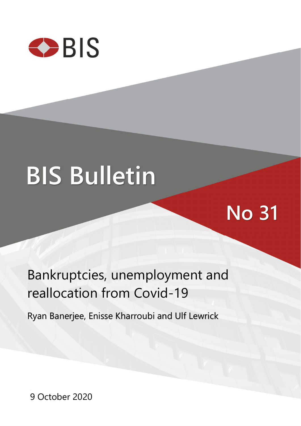

# **BIS Bulletin**

# **No 31**

## Bankruptcies, unemployment and reallocation from Covid-19

Ryan Banerjee, Enisse Kharroubi and Ulf Lewrick

9 October 2020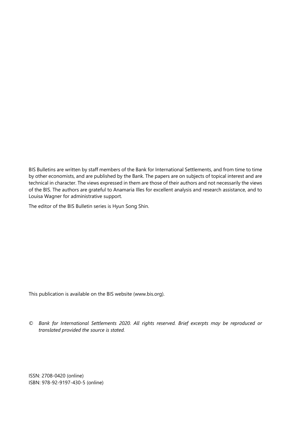BIS Bulletins are written by staff members of the Bank for International Settlements, and from time to time by other economists, and are published by the Bank. The papers are on subjects of topical interest and are technical in character. The views expressed in them are those of their authors and not necessarily the views of the BIS. The authors are grateful to Anamaria Illes for excellent analysis and research assistance, and to Louisa Wagner for administrative support.

The editor of the BIS Bulletin series is Hyun Song Shin.

This publication is available on the BIS website [\(www.bis.org\)](http://www.bis.org/).

*© Bank for International Settlements 2020. All rights reserved. Brief excerpts may be reproduced or translated provided the source is stated.* 

ISSN: 2708-0420 (online) ISBN: 978-92-9197-430-5 (online)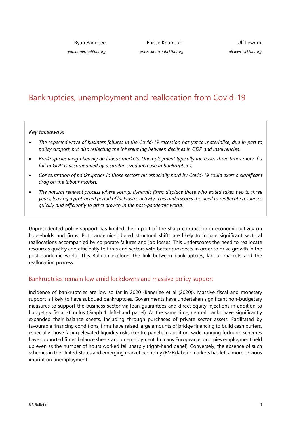Ryan Banerjee

*ryan.banerjee@bis.org*

Enisse Kharroubi *enisse.kharroubi@bis.org*

Ulf Lewrick *ulf.lewrick@bis.org*

### Bankruptcies, unemployment and reallocation from Covid-19

*Key takeaways* 

- *The expected wave of business failures in the Covid-19 recession has yet to materialise, due in part to policy support, but also reflecting the inherent lag between declines in GDP and insolvencies.*
- *Bankruptcies weigh heavily on labour markets. Unemployment typically increases three times more if a fall in GDP is accompanied by a similar-sized increase in bankruptcies.*
- *Concentration of bankruptcies in those sectors hit especially hard by Covid-19 could exert a significant drag on the labour market.*
- *The natural renewal process where young, dynamic firms displace those who exited takes two to three years, leaving a protracted period of lacklustre activity. This underscores the need to reallocate resources quickly and efficiently to drive growth in the post-pandemic world.*

Unprecedented policy support has limited the impact of the sharp contraction in economic activity on households and firms. But pandemic-induced structural shifts are likely to induce significant sectoral reallocations accompanied by corporate failures and job losses. This underscores the need to reallocate resources quickly and efficiently to firms and sectors with better prospects in order to drive growth in the post-pandemic world. This Bulletin explores the link between bankruptcies, labour markets and the reallocation process.

#### Bankruptcies remain low amid lockdowns and massive policy support

Incidence of bankruptcies are low so far in 2020 (Banerjee et al (2020)). Massive fiscal and monetary support is likely to have subdued bankruptcies. Governments have undertaken significant non-budgetary measures to support the business sector via loan guarantees and direct equity injections in addition to budgetary fiscal stimulus (Graph 1, left-hand panel). At the same time, central banks have significantly expanded their balance sheets, including through purchases of private sector assets. Facilitated by favourable financing conditions, firms have raised large amounts of bridge financing to build cash buffers, especially those facing elevated liquidity risks (centre panel). In addition, wide-ranging furlough schemes have supported firms' balance sheets and unemployment. In many European economies employment held up even as the number of hours worked fell sharply (right-hand panel). Conversely, the absence of such schemes in the United States and emerging market economy (EME) labour markets has left a more obvious imprint on unemployment.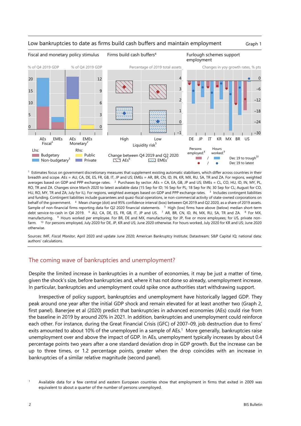

#### Low bankruptcies to date as firms build cash buffers and maintain employment Graph 1

<sup>1</sup> Estimates focus on government discretionary measures that supplement existing automatic stabilisers, which differ across countries in their breadth and scope. AEs = AU, CA, DE, ES, FR, GB, IT, JP and US; EMEs = AR, BR, CN, ID, IN, KR, MX, RU, SA, TR and ZA. For regions, weighted averages based on GDP and PPP exchange rates. <sup>2</sup> Purchases by sector. AEs = CA, EA, GB, JP and US; EMEs = CL, CO, HU, ID, IN, MY, PL, RO, TR and ZA. Changes since March 2020 to latest available data (15 Sep for ID; 16 Sep for PL; 18 Sep for IN; 30 Sep for CL; August for CO, HU, RO, MY, TR and ZA; July for IL). For regions, weighted averages based on GDP and PPP exchange rates. <sup>3</sup> Includes contingent liabilities and funding. Contingent liabilities include guarantees and quasi-fiscal operations, ie non-commercial activity of state-owned corporations on behalf of the government. 4 Mean change (dot) and 95% confidence interval (box) between Q4 2019 and Q2 2020, as a share of 2019 assets. Sample of non-financial firms reporting data for Q2 2020 financial statements. 5 High (low) firms have above (below) median short-term debt service-to-cash in Q4 2019. 6 AU, CA, DE, ES, FR, GB, IT, JP and US. 7 AR, BR, CN, ID, IN, MX, RU, SA, TR and ZA. 8 For MX, manufacturing. <sup>9</sup> Hours worked per employee. For BR, DE and MX, manufacturing; for JP, five or more employees; for US, private nonfarm. 10 For persons employed, July 2020 for DE, JP, KR and US; June 2020 otherwise. For hours worked, July 2020 for KR and US; June 2020 otherwise.

Sources: IMF, *Fiscal Monitor*, April 2020 and update June 2020; American Bankruptcy Institute; Datastream; S&P Capital IQ; national data; authors' calculations.

#### The coming wave of bankruptcies and unemployment?

Despite the limited increase in bankruptcies in a number of economies, it may be just a matter of time, given the shock's size, before bankruptcies and, where it has not done so already, unemployment increase. In particular, bankruptcies and unemployment could spike once authorities start withdrawing support.

Irrespective of policy support, bankruptcies and unemployment have historically lagged GDP. They peak around one year after the initial GDP shock and remain elevated for at least another two (Graph 2, first panel). Banerjee et al (2020) predict that bankruptcies in advanced economies (AEs) could rise from the baseline in 2019 by around 20% in 2021. In addition, bankruptcies and unemployment could reinforce each other. For instance, during the Great Financial Crisis (GFC) of 2007–09, job destruction due to firms' exits amounted to about 10% of the unemployed in a sample of AEs.<sup>1</sup> More generally, bankruptcies raise unemployment over and above the impact of GDP. In AEs, unemployment typically increases by about 0.4 percentage points two years after a one standard deviation drop in GDP growth. But the increase can be up to three times, or 1.2 percentage points, greater when the drop coincides with an increase in bankruptcies of a similar relative magnitude (second panel).

<span id="page-3-0"></span><sup>1</sup> Available data for a few central and eastern European countries show that employment in firms that exited in 2009 was equivalent to about a quarter of the number of persons unemployed.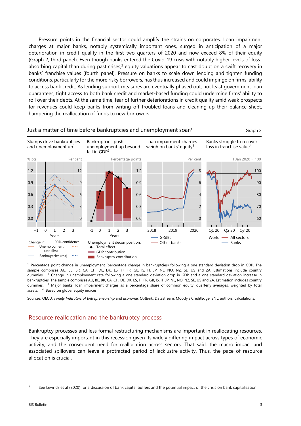Pressure points in the financial sector could amplify the strains on corporates. Loan impairment charges at major banks, notably systemically important ones, surged in anticipation of a major deterioration in credit quality in the first two quarters of 2020 and now exceed 8% of their equity (Graph 2, third panel). Even though banks entered the Covid-19 crisis with notably higher levels of lossabsorbing capital than during past crises,<sup>2</sup> equity valuations appear to cast doubt on a swift recovery in banks' franchise values (fourth panel). Pressure on banks to scale down lending and tighten funding conditions, particularly for the more risky borrowers, has thus increased and could impinge on firms' ability to access bank credit. As lending support measures are eventually phased out, not least government loan guarantees, tight access to both bank credit and market-based funding could undermine firms' ability to roll over their debts. At the same time, fear of further deteriorations in credit quality amid weak prospects for revenues could keep banks from writing off troubled loans and cleaning up their balance sheet, hampering the reallocation of funds to new borrowers.



1 Percentage point change in unemployment (percentage change in bankruptcies) following a one standard deviation drop in GDP. The sample comprises AU, BE, BR, CA, CH, DE, DK, ES, FI, FR, GB, IS, IT, JP, NL, NO, NZ, SE, US and ZA. Estimations include country dummies. <sup>2</sup> Change in unemployment rate following a one standard deviation drop in GDP and a one standard deviation increase in bankruptcies. The sample comprises AU, BE, BR, CA, CH, DE, DK, ES, FI, FR, GB, IS, IT, JP, NL, NO, NZ, SE, US and ZA. Estimation includes country dummies. <sup>3</sup> Major banks' loan impairment charges as a percentage share of common equity; quarterly averages, weighted by total assets. <sup>4</sup> Based on global equity indices.

Sources: OECD, *Timely Indicators of Entrepreneurship* and *Economic Outlook*; Datastream; Moody's CreditEdge; SNL; authors' calculations.

#### Resource reallocation and the bankruptcy process

Bankruptcy processes and less formal restructuring mechanisms are important in reallocating resources. They are especially important in this recession given its widely differing impact across types of economic activity, and the consequent need for reallocation across sectors. That said, the macro impact and associated spillovers can leave a protracted period of lacklustre activity. Thus, the pace of resource allocation is crucial.

<span id="page-4-0"></span><sup>2</sup> See Lewrick et al (2020) for a discussion of bank capital buffers and the potential impact of the crisis on bank capitalisation.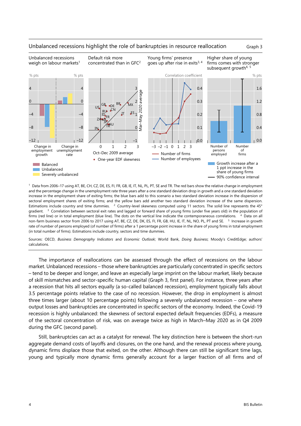

#### Unbalanced recessions highlight the role of bankruptcies in resource reallocation Graph 3

1 Data from 2006–17 using AT, BE, CH, CZ, DE, ES, FI, FR, GB, IE, IT, NL, PL, PT, SE and TR. The red bars show the relative change in employment and the percentage change in the unemployment rate three years after a one standard deviation drop in growth and a one standard deviation increase in the employment share of exiting firms; the blue bars add to this scenario a two standard deviation increase in the dispersion of sectoral employment shares of exiting firms; and the yellow bars add another two standard deviation increase of the same dispersion. Estimations include country and time dummies. <sup>2</sup> Country-level skewness computed using 11 sectors. The solid line represents the 45° gradient. <sup>3</sup> Correlation between sectoral exit rates and lagged or forward share of young firms (under five years old) in the population of firms (red line) or in total employment (blue line). The dots on the vertical line indicate the contemporaneous correlations. <sup>4</sup> Data on all non-farm business sector from 2006 to 2017 using AT, BE, CZ, DE, DK, ES, FI, FR, GB, HU, IE, IT, NL, NO, PL, PT and SE. <sup>5</sup> Increase in growth rate of number of persons employed (of number of firms) after a 1 percentage point increase in the share of young firms in total employment (in total number of firms). Estimations include country, sectors and time dummies.

Sources: OECD, *Business Demography Indicators* and *Economic Outlook*; World Bank, *Doing Business*; Moody's CreditEdge; authors' calculations.

The importance of reallocations can be assessed through the effect of recessions on the labour market. Unbalanced recessions – those where bankruptcies are particularly concentrated in specific sectors – tend to be deeper and longer, and leave an especially large imprint on the labour market, likely because of skill mismatches and sector-specific human capital (Graph 3, first panel). For instance, three years after a recession that hits all sectors equally (a so-called balanced recession), employment typically falls about 3.5 percentage points relative to the case of no recession. However, the drop in employment is almost three times larger (about 10 percentage points) following a severely unbalanced recession – one where output losses and bankruptcies are concentrated in specific sectors of the economy. Indeed, the Covid-19 recession is highly unbalanced: the skewness of sectoral expected default frequencies (EDFs), a measure of the sectoral concentration of risk, was on average twice as high in March–May 2020 as in Q4 2009 during the GFC (second panel).

Still, bankruptcies can act as a catalyst for renewal. The key distinction here is between the short-run aggregate demand costs of layoffs and closures, on the one hand, and the renewal process where young, dynamic firms displace those that exited, on the other. Although there can still be significant time lags, young and typically more dynamic firms generally account for a larger fraction of all firms and of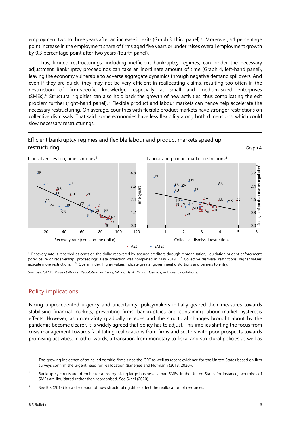employment two to three years after an increase in exits (Graph 3, third panel).<sup>3</sup> Moreover, a 1 percentage point increase in the employment share of firms aged five years or under raises overall employment growth by 0.3 percentage point after two years (fourth panel).

Thus, limited restructurings, including inefficient bankruptcy regimes, can hinder the necessary adjustment. Bankruptcy proceedings can take an inordinate amount of time (Graph 4, left-hand panel), leaving the economy vulnerable to adverse aggregate dynamics through negative demand spillovers. And even if they are quick, they may not be very efficient in reallocating claims, resulting too often in the destruction of firm-specific knowledge, especially at small and medium-sized enterprises (SMEs).[4](#page-6-1) Structural rigidities can also hold back the growth of new activities, thus complicating the exit problem further (right-hand panel).<sup>[5](#page-6-0)</sup> Flexible product and labour markets can hence help accelerate the necessary restructuring. On average, countries with flexible product markets have stronger restrictions on collective dismissals. That said, some economies have less flexibility along both dimensions, which could slow necessary restructurings.

#### Efficient bankruptcy regimes and flexible labour and product markets speed up restructuring Graph 4



 $<sup>1</sup>$  Recovery rate is recorded as cents on the dollar recovered by secured creditors through reorganisation, liquidation or debt enforcement</sup> (foreclosure or receivership) proceedings. Data collection was completed in May 2019. <sup>2</sup> Collective dismissal restrictions: higher values indicate more restrictions. <sup>3</sup> Overall index; higher values indicate greater government distortions and barriers to entry.

Sources: OECD, *Product Market Regulation Statistics*; World Bank, *Doing Business*; authors' calculations.

#### Policy implications

Facing unprecedented urgency and uncertainty, policymakers initially geared their measures towards stabilising financial markets, preventing firms' bankruptcies and containing labour market hysteresis effects. However, as uncertainty gradually recedes and the structural changes brought about by the pandemic become clearer, it is widely agreed that policy has to adjust. This implies shifting the focus from crisis management towards facilitating reallocations from firms and sectors with poor prospects towards promising activities. In other words, a transition from monetary to fiscal and structural policies as well as

<span id="page-6-2"></span><sup>3</sup> The growing incidence of so-called zombie firms since the GFC as well as recent evidence for the United States based on firm surveys confirm the urgent need for reallocation (Banerjee and Hofmann (2018, 2020)).

<span id="page-6-1"></span><sup>4</sup> Bankruptcy courts are often better at reorganising large businesses than SMEs. In the United States for instance, two thirds of SMEs are liquidated rather than reorganised. See Skeel (2020).

<span id="page-6-0"></span><sup>5</sup> See BIS (2013) for a discussion of how structural rigidities affect the reallocation of resources.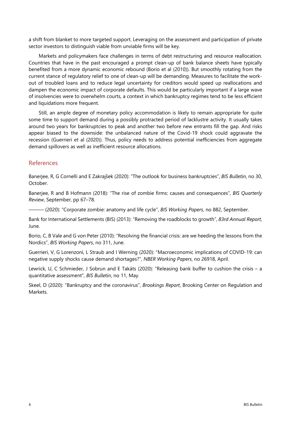a shift from blanket to more targeted support. Leveraging on the assessment and participation of private sector investors to distinguish viable from unviable firms will be key.

Markets and policymakers face challenges in terms of debt restructuring and resource reallocation. Countries that have in the past encouraged a prompt clean-up of bank balance sheets have typically benefited from a more dynamic economic rebound (Borio et al (2010)). But smoothly rotating from the current stance of regulatory relief to one of clean-up will be demanding. Measures to facilitate the workout of troubled loans and to reduce legal uncertainty for creditors would speed up reallocations and dampen the economic impact of corporate defaults. This would be particularly important if a large wave of insolvencies were to overwhelm courts, a context in which bankruptcy regimes tend to be less efficient and liquidations more frequent.

Still, an ample degree of monetary policy accommodation is likely to remain appropriate for quite some time to support demand during a possibly protracted period of lacklustre activity. It usually takes around two years for bankruptcies to peak and another two before new entrants fill the gap. And risks appear biased to the downside: the unbalanced nature of the Covid-19 shock could aggravate the recession (Guerrieri et al (2020)). Thus, policy needs to address potential inefficiencies from aggregate demand spillovers as well as inefficient resource allocations.

#### References

Banerjee, R, G Cornelli and E Zakrajšek (2020): "The outlook for business bankruptcies", *BIS Bulletin*, no 30, October.

Banerjee, R and B Hofmann (2018): "The rise of zombie firms: causes and consequences", *BIS Quarterly Review*, September, pp 67–78.

——— (2020): "Corporate zombie: anatomy and life cycle", *BIS Working Papers*, no 882, September.

Bank for International Settlements (BIS) (2013): "Removing the roadblocks to growth", *83rd Annual Report*, June.

Borio, C, B Vale and G von Peter (2010): "Resolving the financial crisis: are we heeding the lessons from the Nordics", *BIS Working Papers*, no 311, June.

Guerrieri, V, G Lorenzoni, L Straub and I Werning (2020): "Macroeconomic implications of COVID-19: can negative supply shocks cause demand shortages?", *NBER Working Papers*, no 26918, April.

Lewrick, U, C Schmieder, J Sobrun and E Takáts (2020): "Releasing bank buffer to cushion the crisis – a quantitative assessment", *BIS Bulletin*, no 11, May.

Skeel, D (2020): "Bankruptcy and the coronavirus", *Brookings Report*, Brooking Center on Regulation and Markets.